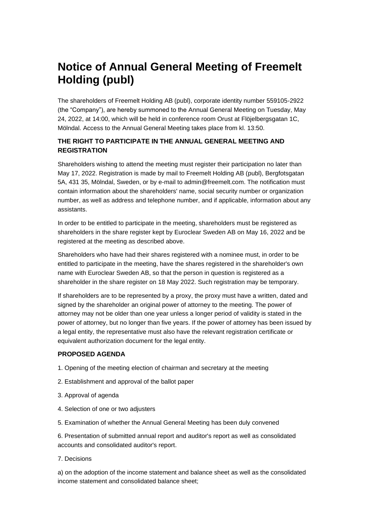# **Notice of Annual General Meeting of Freemelt Holding (publ)**

The shareholders of Freemelt Holding AB (publ), corporate identity number 559105-2922 (the "Company"), are hereby summoned to the Annual General Meeting on Tuesday, May 24, 2022, at 14:00, which will be held in conference room Orust at Flöjelbergsgatan 1C, Mölndal. Access to the Annual General Meeting takes place from kl. 13:50.

## **THE RIGHT TO PARTICIPATE IN THE ANNUAL GENERAL MEETING AND REGISTRATION**

Shareholders wishing to attend the meeting must register their participation no later than May 17, 2022. Registration is made by mail to Freemelt Holding AB (publ), Bergfotsgatan 5A, 431 35, Mölndal, Sweden, or by e-mail to admin@freemelt.com. The notification must contain information about the shareholders' name, social security number or organization number, as well as address and telephone number, and if applicable, information about any assistants.

In order to be entitled to participate in the meeting, shareholders must be registered as shareholders in the share register kept by Euroclear Sweden AB on May 16, 2022 and be registered at the meeting as described above.

Shareholders who have had their shares registered with a nominee must, in order to be entitled to participate in the meeting, have the shares registered in the shareholder's own name with Euroclear Sweden AB, so that the person in question is registered as a shareholder in the share register on 18 May 2022. Such registration may be temporary.

If shareholders are to be represented by a proxy, the proxy must have a written, dated and signed by the shareholder an original power of attorney to the meeting. The power of attorney may not be older than one year unless a longer period of validity is stated in the power of attorney, but no longer than five years. If the power of attorney has been issued by a legal entity, the representative must also have the relevant registration certificate or equivalent authorization document for the legal entity.

## **PROPOSED AGENDA**

- 1. Opening of the meeting election of chairman and secretary at the meeting
- 2. Establishment and approval of the ballot paper
- 3. Approval of agenda
- 4. Selection of one or two adjusters
- 5. Examination of whether the Annual General Meeting has been duly convened

6. Presentation of submitted annual report and auditor's report as well as consolidated accounts and consolidated auditor's report.

7. Decisions

a) on the adoption of the income statement and balance sheet as well as the consolidated income statement and consolidated balance sheet;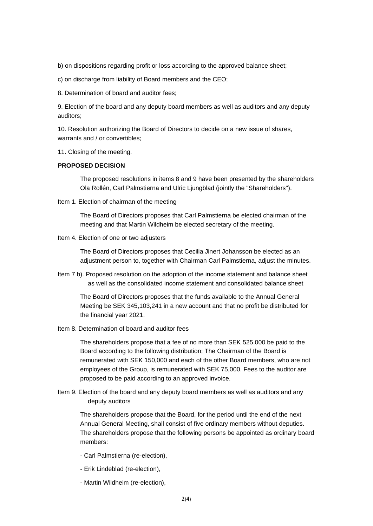b) on dispositions regarding profit or loss according to the approved balance sheet;

c) on discharge from liability of Board members and the CEO;

8. Determination of board and auditor fees;

9. Election of the board and any deputy board members as well as auditors and any deputy auditors;

10. Resolution authorizing the Board of Directors to decide on a new issue of shares, warrants and / or convertibles;

11. Closing of the meeting.

#### **PROPOSED DECISION**

The proposed resolutions in items 8 and 9 have been presented by the shareholders Ola Rollén, Carl Palmstierna and Ulric Ljungblad (jointly the "Shareholders").

Item 1. Election of chairman of the meeting

The Board of Directors proposes that Carl Palmstierna be elected chairman of the meeting and that Martin Wildheim be elected secretary of the meeting.

Item 4. Election of one or two adjusters

The Board of Directors proposes that Cecilia Jinert Johansson be elected as an adjustment person to, together with Chairman Carl Palmstierna, adjust the minutes.

Item 7 b). Proposed resolution on the adoption of the income statement and balance sheet as well as the consolidated income statement and consolidated balance sheet

The Board of Directors proposes that the funds available to the Annual General Meeting be SEK 345,103,241 in a new account and that no profit be distributed for the financial year 2021.

Item 8. Determination of board and auditor fees

The shareholders propose that a fee of no more than SEK 525,000 be paid to the Board according to the following distribution; The Chairman of the Board is remunerated with SEK 150,000 and each of the other Board members, who are not employees of the Group, is remunerated with SEK 75,000. Fees to the auditor are proposed to be paid according to an approved invoice.

Item 9. Election of the board and any deputy board members as well as auditors and any deputy auditors

The shareholders propose that the Board, for the period until the end of the next Annual General Meeting, shall consist of five ordinary members without deputies. The shareholders propose that the following persons be appointed as ordinary board members:

- Carl Palmstierna (re-election),
- Erik Lindeblad (re-election),
- Martin Wildheim (re-election),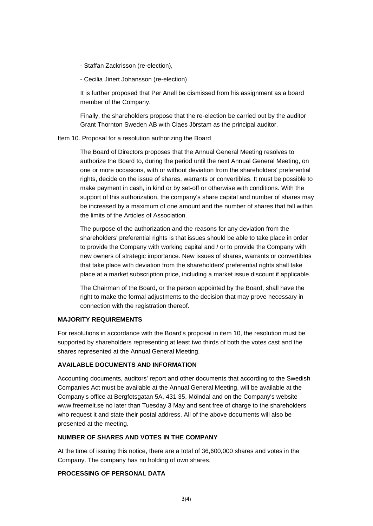- Staffan Zackrisson (re-election),
- Cecilia Jinert Johansson (re-election)

It is further proposed that Per Anell be dismissed from his assignment as a board member of the Company.

Finally, the shareholders propose that the re-election be carried out by the auditor Grant Thornton Sweden AB with Claes Jörstam as the principal auditor.

#### Item 10. Proposal for a resolution authorizing the Board

The Board of Directors proposes that the Annual General Meeting resolves to authorize the Board to, during the period until the next Annual General Meeting, on one or more occasions, with or without deviation from the shareholders' preferential rights, decide on the issue of shares, warrants or convertibles. It must be possible to make payment in cash, in kind or by set-off or otherwise with conditions. With the support of this authorization, the company's share capital and number of shares may be increased by a maximum of one amount and the number of shares that fall within the limits of the Articles of Association.

The purpose of the authorization and the reasons for any deviation from the shareholders' preferential rights is that issues should be able to take place in order to provide the Company with working capital and / or to provide the Company with new owners of strategic importance. New issues of shares, warrants or convertibles that take place with deviation from the shareholders' preferential rights shall take place at a market subscription price, including a market issue discount if applicable.

The Chairman of the Board, or the person appointed by the Board, shall have the right to make the formal adjustments to the decision that may prove necessary in connection with the registration thereof.

#### **MAJORITY REQUIREMENTS**

For resolutions in accordance with the Board's proposal in item 10, the resolution must be supported by shareholders representing at least two thirds of both the votes cast and the shares represented at the Annual General Meeting.

#### **AVAILABLE DOCUMENTS AND INFORMATION**

Accounting documents, auditors' report and other documents that according to the Swedish Companies Act must be available at the Annual General Meeting, will be available at the Company's office at Bergfotsgatan 5A, 431 35, Mölndal and on the Company's website www.freemelt.se no later than Tuesday 3 May and sent free of charge to the shareholders who request it and state their postal address. All of the above documents will also be presented at the meeting.

#### **NUMBER OF SHARES AND VOTES IN THE COMPANY**

At the time of issuing this notice, there are a total of 36,600,000 shares and votes in the Company. The company has no holding of own shares.

#### **PROCESSING OF PERSONAL DATA**